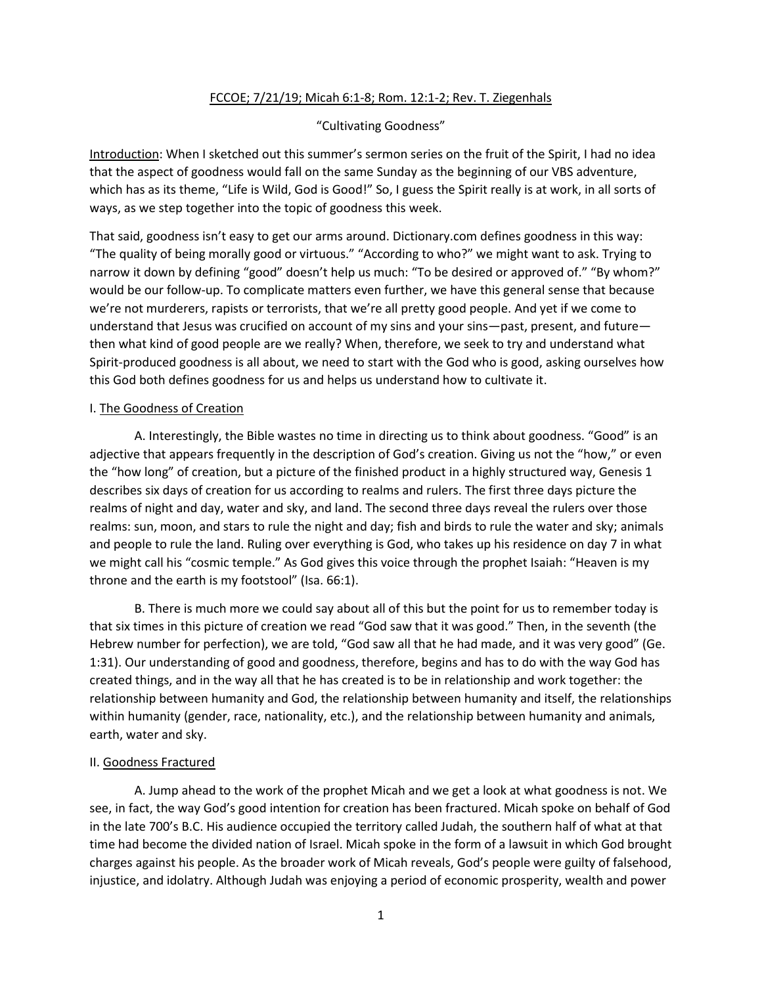# FCCOE; 7/21/19; Micah 6:1-8; Rom. 12:1-2; Rev. T. Ziegenhals

## "Cultivating Goodness"

Introduction: When I sketched out this summer's sermon series on the fruit of the Spirit, I had no idea that the aspect of goodness would fall on the same Sunday as the beginning of our VBS adventure, which has as its theme, "Life is Wild, God is Good!" So, I guess the Spirit really is at work, in all sorts of ways, as we step together into the topic of goodness this week.

That said, goodness isn't easy to get our arms around. Dictionary.com defines goodness in this way: "The quality of being morally good or virtuous." "According to who?" we might want to ask. Trying to narrow it down by defining "good" doesn't help us much: "To be desired or approved of." "By whom?" would be our follow-up. To complicate matters even further, we have this general sense that because we're not murderers, rapists or terrorists, that we're all pretty good people. And yet if we come to understand that Jesus was crucified on account of my sins and your sins—past, present, and future then what kind of good people are we really? When, therefore, we seek to try and understand what Spirit-produced goodness is all about, we need to start with the God who is good, asking ourselves how this God both defines goodness for us and helps us understand how to cultivate it.

### I. The Goodness of Creation

A. Interestingly, the Bible wastes no time in directing us to think about goodness. "Good" is an adjective that appears frequently in the description of God's creation. Giving us not the "how," or even the "how long" of creation, but a picture of the finished product in a highly structured way, Genesis 1 describes six days of creation for us according to realms and rulers. The first three days picture the realms of night and day, water and sky, and land. The second three days reveal the rulers over those realms: sun, moon, and stars to rule the night and day; fish and birds to rule the water and sky; animals and people to rule the land. Ruling over everything is God, who takes up his residence on day 7 in what we might call his "cosmic temple." As God gives this voice through the prophet Isaiah: "Heaven is my throne and the earth is my footstool" (Isa. 66:1).

B. There is much more we could say about all of this but the point for us to remember today is that six times in this picture of creation we read "God saw that it was good." Then, in the seventh (the Hebrew number for perfection), we are told, "God saw all that he had made, and it was very good" (Ge. 1:31). Our understanding of good and goodness, therefore, begins and has to do with the way God has created things, and in the way all that he has created is to be in relationship and work together: the relationship between humanity and God, the relationship between humanity and itself, the relationships within humanity (gender, race, nationality, etc.), and the relationship between humanity and animals, earth, water and sky.

### II. Goodness Fractured

A. Jump ahead to the work of the prophet Micah and we get a look at what goodness is not. We see, in fact, the way God's good intention for creation has been fractured. Micah spoke on behalf of God in the late 700's B.C. His audience occupied the territory called Judah, the southern half of what at that time had become the divided nation of Israel. Micah spoke in the form of a lawsuit in which God brought charges against his people. As the broader work of Micah reveals, God's people were guilty of falsehood, injustice, and idolatry. Although Judah was enjoying a period of economic prosperity, wealth and power